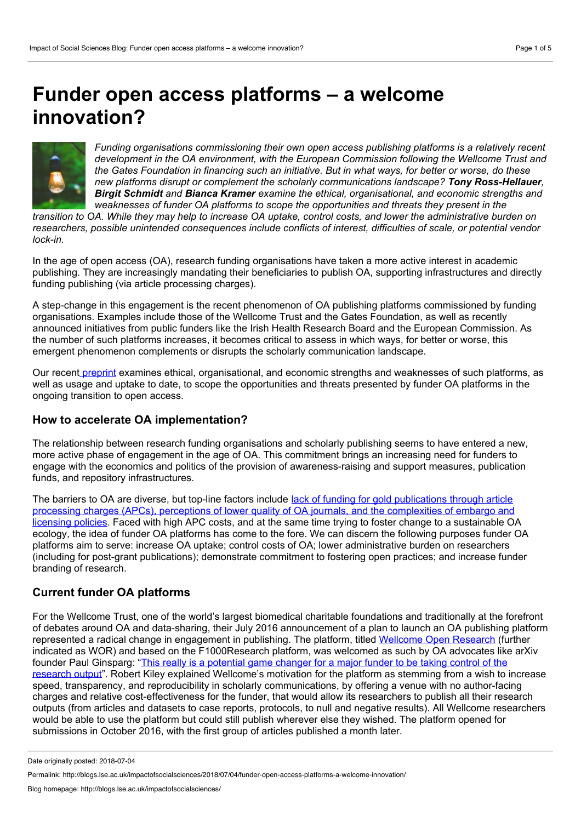# **Funder open access platforms – a welcome innovation?**



*Funding organisations commissioning their own open access publishing platforms is a relatively recent development in the OA environment, with the European Commission following the Wellcome Trust and* the Gates Foundation in financing such an initiative. But in what ways, for better or worse, do these *new platforms disrupt or complement the scholarly communications landscape? Tony Ross-Hellauer, Birgit Schmidt and Bianca Kramer examine the ethical, organisational, and economic strengths and weaknesses of funder OA platforms to scope the opportunities and threats they present in the*

transition to OA. While they may help to increase OA uptake, control costs, and lower the administrative burden on *researchers, possible unintended consequences include conflicts of interest, difficulties of scale, or potential vendor lock-in.*

In the age of open access (OA), research funding organisations have taken a more active interest in academic publishing. They are increasingly mandating their beneficiaries to publish OA, supporting infrastructures and directly funding publishing (via article processing charges).

A step-change in this engagement is the recent phenomenon of OA publishing platforms commissioned by funding organisations. Examples include those of the Wellcome Trust and the Gates Foundation, as well as recently announced initiatives from public funders like the Irish Health Research Board and the European Commission. As the number of such platforms increases, it becomes critical to assess in which ways, for better or worse, this emergent phenomenon complements or disrupts the scholarly communication landscape.

Our recent [preprint](https://peerj.com/preprints/26954/) examines ethical, organisational, and economic strengths and weaknesses of such platforms, as well as usage and uptake to date, to scope the opportunities and threats presented by funder OA platforms in the ongoing transition to open access.

## **How toaccelerate OA implementation?**

The relationship between research funding organisations and scholarly publishing seems to have entered a new, more active phase of engagement in the age of OA. This commitment brings an increasing need for funders to engage with the economics and politics of the provision of awareness-raising and support measures, publication funds, and repository infrastructures.

The barriers to OA are diverse, but top-line factors include lack of funding for gold publications through article processing charges (APCs), perceptions of lower quality of OA journals, and the [complexities](https://arxiv.org/abs/1101.5260) of embargo and licensing policies. Faced with high APC costs, and at the same time trying to foster change to a sustainable OA ecology, the idea of funder OA platforms has come to the fore. We can discern the following purposes funder OA platforms aim to serve: increase OA uptake; control costs of OA; lower administrative burden on researchers (including for post-grant publications); demonstrate commitment to fostering open practices; and increase funder branding of research.

## **Current funder OA platforms**

For the Wellcome Trust, one of the world's largest biomedical charitable foundations and traditionally at the forefront of debates around OA and data-sharing, their July 2016 announcement of a plan to launch an OA publishing platform represented a radical change in engagement in publishing. The platform, titled [Wellcome](https://wellcomeopenresearch.org/) Open Research (further indicated as WOR) and based on the F1000Research platform, was welcomed as such by OA advocates like arXiv founder Paul Ginsparg: "This really is a potential game changer for a major funder to be taking control of the research output". Robert Kiley explained [Wellcome's](http://www.sciencemag.org/news/2016/07/uk-research-charity-will-self-publish-results-its-grantees) motivation for the platform as stemming from a wish to increase speed, transparency, and reproducibility in scholarly communications, by offering a venue with no author-facing charges and relative cost-effectiveness for the funder, that would allow its researchers to publish all their research outputs (from articles and datasets to case reports, protocols, to null and negative results). All Wellcome researchers would be able to use the platform but could still publish wherever else they wished. The platform opened for submissions in October 2016, with the first group of articles published a month later.

Date originally posted: 2018-07-04

Permalink: http://blogs.lse.ac.uk/impactofsocialsciences/2018/07/04/funder-open-access-platforms-a-welcome-innovation/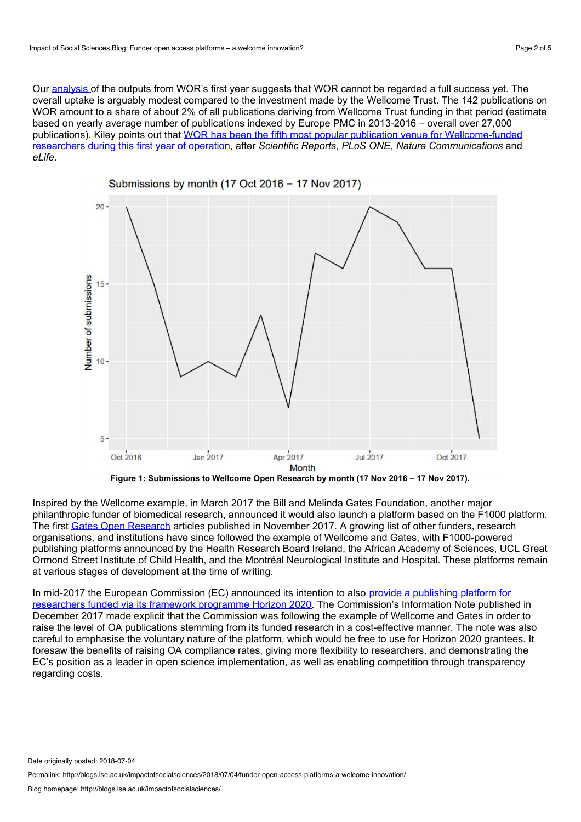Our [analysis](https://github.com/gitti1/WOR) of the outputs from WOR's first year suggests that WOR cannot be regarded a full success yet. The overall uptake is arguably modest compared to the investment made by the Wellcome Trust. The 142 publications on WOR amount to a share of about 2% of all publications deriving from Wellcome Trust funding in that period (estimate based on yearly average number of publications indexed by Europe PMC in 2013-2016 – overall over 27,000 publications). Kiley points out that WOR has been the fifth most popular publication venue for [Wellcome-funded](https://figshare.com/articles/Wellcome_Open_Research_-_publication_data_year_1_Nov_2016-Nov_2017_/5639197/2) researchers during this first year of operation, after *Scientific Reports*, *PLoS ONE*, *Nature Communications* and *eLife*.



**Figure 1: Submissions to Wellcome Open Research by month (17 Nov 2016 – 17 Nov 2017).**

Inspired by the Wellcome example, in March 2017 the Bill and Melinda Gates Foundation, another major philanthropic funder of biomedical research, announced it would also launch a platform based on the F1000 platform. The first Gates Open [Research](https://gatesopenresearch.org/) articles published in November 2017. A growing list of other funders, research organisations, and institutions have since followed the example of Wellcome and Gates, with F1000-powered publishing platforms announced by the Health Research Board Ireland, the African Academy of Sciences, UCL Great Ormond Street Institute of Child Health, and the Montréal Neurological Institute and Hospital. These platforms remain at various stages of development at the time of writing.

In mid-2017 the European Commission (EC) announced its intention to also provide a publishing platform for researchers funded via its framework programme Horizon 2020. The [Commission's](http://www.sciencemag.org/news/2017/03/european-commission-considering-leap-open-access-publishing) Information Note published in December 2017 made explicit that the Commission was following the example of Wellcome and Gates in order to raise the level of OA publications stemming from its funded research in a cost-effective manner. The note was also careful to emphasise the voluntary nature of the platform, which would be free to use for Horizon 2020 grantees. It foresaw the benefits of raising OA compliance rates, giving more flexibility to researchers, and demonstrating the EC's position as a leader in open science implementation, as wellas enabling competition through transparency regarding costs.

Date originally posted: 2018-07-04

Permalink: http://blogs.lse.ac.uk/impactofsocialsciences/2018/07/04/funder-open-access-platforms-a-welcome-innovation/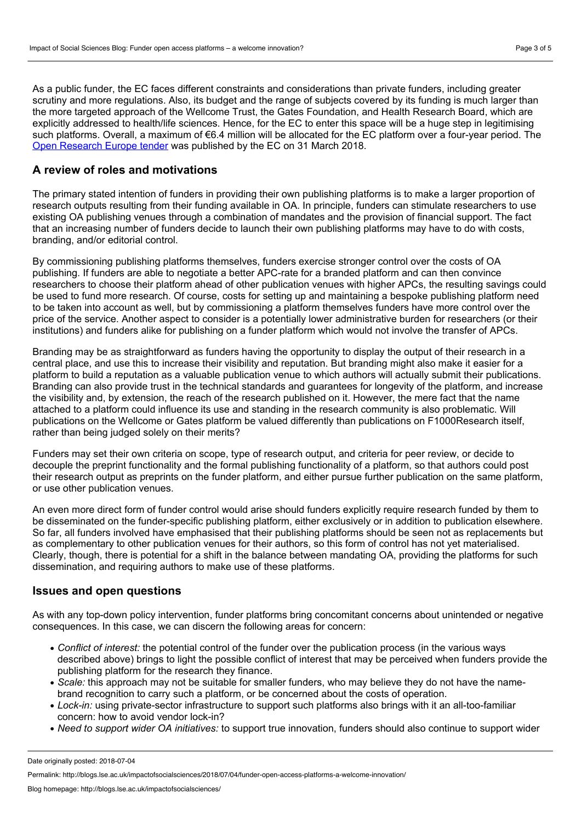As a public funder, the EC faces different constraints and considerations than private funders, including greater scrutiny and more regulations. Also, its budget and the range of subjects covered by its funding is much larger than the more targeted approach of the Wellcome Trust, the Gates Foundation, and Health Research Board, which are explicitly addressed to health/life sciences. Hence, for the EC to enter this space will be a huge step in legitimising such platforms. Overall, a maximum of €6.4 million will be allocated for the EC platform over a four-year period. The Open [Research](http://ted.europa.eu/TED/notice/udl?uri=TED:NOTICE:141558-2018:TEXT:EN:HTML) Europe tender was published by the EC on 31 March 2018.

# **A review of roles and motivations**

The primary stated intention of funders in providing their own publishing platforms is to make a larger proportion of research outputs resulting from their funding available in OA. In principle, funders can stimulate researchers to use existing OA publishing venues through a combination of mandates and the provision of financial support. The fact that an increasing number of funders decide to launch their own publishing platforms may have to do with costs, branding, and/or editorial control.

By commissioning publishing platforms themselves, funders exercise stronger control over the costs of OA publishing. If funders are able to negotiate a better APC-rate for a branded platform andcan then convince researchers to choose their platform ahead of other publication venues with higher APCs, the resulting savings could be used to fund more research. Of course, costs for setting up and maintaining a bespoke publishing platform need to be taken into account as well, but by commissioning a platform themselves funders have more control over the price of the service. Another aspect to consider is a potentially lower administrative burden for researchers (or their institutions) and funders alike for publishing on a funder platform which would not involve the transfer of APCs.

Branding may be as straightforward as funders having the opportunity to display the output of their research in a central place, and use this to increase their visibility and reputation. But branding might also make it easier for a platform to build a reputation as a valuable publication venue to which authors will actually submit their publications. Branding can also provide trust in the technical standards and guarantees for longevity of the platform, and increase the visibility and, by extension, the reach of the research published on it. However, the mere fact that the name attached to a platform could influence its use and standing in the research community is also problematic. Will publications on the Wellcome or Gates platform be valued differently than publications on F1000Research itself, rather than being judged solely on their merits?

Funders may set their own criteria on scope, type of research output, and criteria for peer review, or decide to decouple the preprint functionality and the formal publishing functionality of a platform, so that authors could post their research output as preprints on the funder platform, and either pursue further publication on the same platform, or use other publication venues.

An even more direct form of funder control would arise should funders explicitly require research funded by them to be disseminated on the funder-specific publishing platform, either exclusively or in addition to publication elsewhere. So far, all funders involved have emphasised that their publishing platforms should be seen not as replacements but as complementary to other publication venues for their authors, so this form of control has not yet materialised. Clearly, though, there is potential for a shift in the balance between mandating OA, providing the platforms for such dissemination, and requiring authors to make use of these platforms.

#### **Issues and open questions**

As with any top-down policy intervention, funder platforms bring concomitant concerns about unintended or negative consequences. In this case, we can discern the following areas for concern:

- *Conflict of interest:* the potential control of the funder over the publication process (in the various ways described above) brings to light the possible conflict of interest that may be perceived when funders provide the publishing platform for the research they finance.
- *Scale:* this approach may not be suitable for smaller funders, who may believe they do not have the name brand recognition to carry such a platform, or be concerned about the costs of operation.
- *Lock-in:* using private-sector infrastructure to support such platforms also brings with it an all-too-familiar concern: how to avoid vendor lock-in?
- *Need to support wider OA initiatives:* to support true innovation, funders should also continue to support wider

Date originally posted: 2018-07-04

Permalink: http://blogs.lse.ac.uk/impactofsocialsciences/2018/07/04/funder-open-access-platforms-a-welcome-innovation/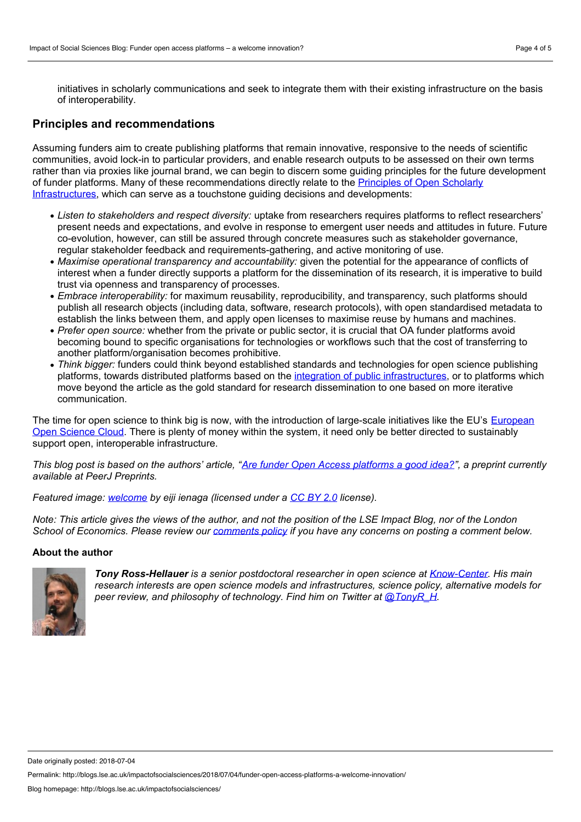initiatives in scholarly communications and seek to integrate them with their existing infrastructure on the basis of interoperability.

#### **Principles and recommendations**

Assuming funders aim to create publishing platforms that remain innovative, responsive to the needs of scientific communities, avoid lock-in to particular providers, and enable research outputs to be assessed on their own terms rather than via proxies like journal brand, we can begin to discern some guiding principles for the future development of funder platforms. Many of these [recommendations](https://figshare.com/articles/Principles_for_Open_Scholarly_Infrastructures_v1/1314859/1) directly relate to the Principles of Open Scholarly Infrastructures, which can serve as a touchstone guiding decisions and developments:

- *Listen to stakeholders and respect diversity:* uptake from researchers requires platforms to reflect researchers' present needs and expectations, and evolve in response to emergent user needs and attitudes in future. Future co-evolution, however, can still be assured through concrete measures such as stakeholder governance, regular stakeholder feedback and requirements-gathering, and active monitoring of use.
- *Maximise operational transparency and accountability:* given the potential for the appearance of conflicts of interest when a funder directly supports a platform for the dissemination of its research, it is imperative to build trust via openness and transparency of processes.
- *Embrace interoperability:* for maximum reusability, reproducibility, and transparency, such platforms should publish all research objects (including data, software, research protocols), with open standardised metadata to establish the links between them, and apply open licenses to maximise reuse by humans and machines.
- *Prefer open source:* whether from the private or public sector, it is crucial that OA funder platforms avoid becoming bound to specific organisations for technologies or workflows such that the cost of transferring to another platform/organisation becomes prohibitive.
- *Think bigger:* funders could think beyond established standards and technologies for open science publishing platforms, towards distributed platforms based on the integration of public [infrastructures](http://blogs.lse.ac.uk/impactofsocialsciences/2017/10/26/journal-flipping-or-a-public-open-access-infrastructure-what-kind-of-open-access-future-do-we-want/), or to platforms which move beyond the article as the gold standard for research dissemination to one based on more iterative communication.

The time for open science to think big is now, with the [introduction](https://ec.europa.eu/research/openscience/index.cfm?pg=open-science-cloud) of large-scale initiatives like the EU's European Open Science Cloud. There is plenty of money within the system, it need only be better directed to sustainably support open, interoperable infrastructure.

This blog post is based on the authors' article, "Are funder Open Access [platforms](https://peerj.com/preprints/26954/) a good idea?", a preprint currently *available at PeerJ Preprints.*

*Featured image: [welcome](https://www.flickr.com/photos/haru01/19235628563/) by eiji ienaga (licensed under a [CC](https://creativecommons.org/licenses/by/2.0/) BY 2.0 license).*

Note: This article gives the views of the author, and not the position of the LSE Impact Blog, nor of the London School of Economics. Please review our [comments](http://blogs.lse.ac.uk/impactofsocialsciences/about-the-blog/comments-policy/) policy if you have any concerns on posting a comment below.

#### **About the author**



*Tony Ross-Hellauer is a senior postdoctoral researcher in open science at [Know-Center.](http://www.know-center.tugraz.at/) His main research interests are open science models and infrastructures, science policy, alternative models for peer review, and philosophy of technology. Find him on Twitter at [@TonyR\\_H](https://twitter.com/tonyR_H).*

Date originally posted: 2018-07-04

Permalink: http://blogs.lse.ac.uk/impactofsocialsciences/2018/07/04/funder-open-access-platforms-a-welcome-innovation/